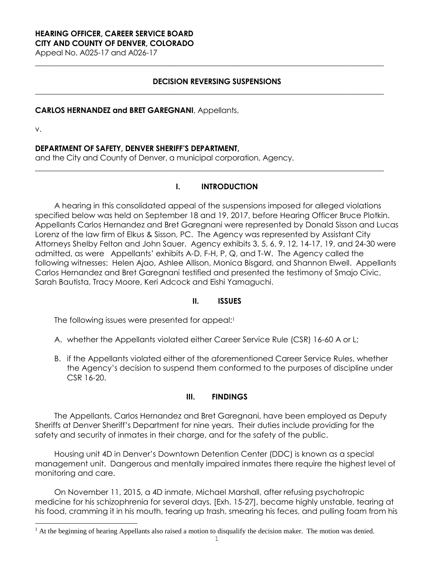#### **HEARING OFFICER, CAREER SERVICE BOARD CITY AND COUNTY OF DENVER, COLORADO**

Appeal No. A025-17 and A026-17

### **DECISION REVERSING SUSPENSIONS**

**\_\_\_\_\_\_\_\_\_\_\_\_\_\_\_\_\_\_\_\_\_\_\_\_\_\_\_\_\_\_\_\_\_\_\_\_\_\_\_\_\_\_\_\_\_\_\_\_\_\_\_\_\_\_\_\_\_\_\_\_\_\_\_\_\_\_\_\_\_\_\_\_\_\_\_\_\_\_\_\_\_\_\_\_\_\_\_\_\_\_\_\_**

**\_\_\_\_\_\_\_\_\_\_\_\_\_\_\_\_\_\_\_\_\_\_\_\_\_\_\_\_\_\_\_\_\_\_\_\_\_\_\_\_\_\_\_\_\_\_\_\_\_\_\_\_\_\_\_\_\_\_\_\_\_\_\_\_\_\_\_\_\_\_\_\_\_\_\_\_\_\_\_\_\_\_\_\_\_\_\_\_\_\_\_\_**

### **CARLOS HERNANDEZ and BRET GAREGNANI**, Appellants,

v.

L

### **DEPARTMENT OF SAFETY, DENVER SHERIFF'S DEPARTMENT,**

and the City and County of Denver, a municipal corporation, Agency.

### **I. INTRODUCTION**

**\_\_\_\_\_\_\_\_\_\_\_\_\_\_\_\_\_\_\_\_\_\_\_\_\_\_\_\_\_\_\_\_\_\_\_\_\_\_\_\_\_\_\_\_\_\_\_\_\_\_\_\_\_\_\_\_\_\_\_\_\_\_\_\_\_\_\_\_\_\_\_\_\_\_\_\_\_\_\_\_\_\_\_\_\_\_\_\_\_\_\_\_**

A hearing in this consolidated appeal of the suspensions imposed for alleged violations specified below was held on September 18 and 19, 2017, before Hearing Officer Bruce Plotkin. Appellants Carlos Hernandez and Bret Garegnani were represented by Donald Sisson and Lucas Lorenz of the law firm of Elkus & Sisson, PC. The Agency was represented by Assistant City Attorneys Shelby Felton and John Sauer. Agency exhibits 3, 5, 6, 9, 12, 14-17, 19, and 24-30 were admitted, as were Appellants' exhibits A-D, F-H, P, Q, and T-W. The Agency called the following witnesses: Helen Ajao, Ashlee Allison, Monica Bisgard, and Shannon Elwell. Appellants Carlos Hernandez and Bret Garegnani testified and presented the testimony of Smajo Civic, Sarah Bautista, Tracy Moore, Keri Adcock and Eishi Yamaguchi.

### **II. ISSUES**

The following issues were presented for appeal:<sup>1</sup>

- A. whether the Appellants violated either Career Service Rule (CSR) 16-60 A or L;
- B. if the Appellants violated either of the aforementioned Career Service Rules, whether the Agency's decision to suspend them conformed to the purposes of discipline under CSR 16-20.

### **III. FINDINGS**

The Appellants, Carlos Hernandez and Bret Garegnani, have been employed as Deputy Sheriffs at Denver Sheriff's Department for nine years. Their duties include providing for the safety and security of inmates in their charge, and for the safety of the public.

Housing unit 4D in Denver's Downtown Detention Center (DDC) is known as a special management unit. Dangerous and mentally impaired inmates there require the highest level of monitoring and care.

On November 11, 2015, a 4D inmate, Michael Marshall, after refusing psychotropic medicine for his schizophrenia for several days, [Exh. 15-27], became highly unstable, tearing at his food, cramming it in his mouth, tearing up trash, smearing his feces, and pulling foam from his

 $<sup>1</sup>$  At the beginning of hearing Appellants also raised a motion to disqualify the decision maker. The motion was denied.</sup>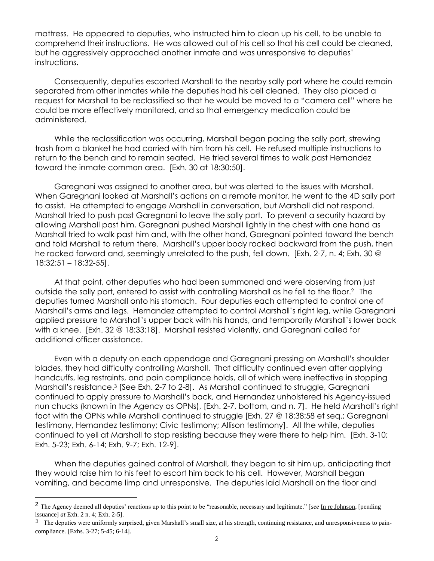mattress. He appeared to deputies, who instructed him to clean up his cell, to be unable to comprehend their instructions. He was allowed out of his cell so that his cell could be cleaned, but he aggressively approached another inmate and was unresponsive to deputies' instructions.

Consequently, deputies escorted Marshall to the nearby sally port where he could remain separated from other inmates while the deputies had his cell cleaned. They also placed a request for Marshall to be reclassified so that he would be moved to a "camera cell" where he could be more effectively monitored, and so that emergency medication could be administered.

While the reclassification was occurring, Marshall began pacing the sally port, strewing trash from a blanket he had carried with him from his cell. He refused multiple instructions to return to the bench and to remain seated. He tried several times to walk past Hernandez toward the inmate common area. [Exh. 30 at 18:30:50].

Garegnani was assigned to another area, but was alerted to the issues with Marshall. When Garegnani looked at Marshall's actions on a remote monitor, he went to the 4D sally port to assist. He attempted to engage Marshall in conversation, but Marshall did not respond. Marshall tried to push past Garegnani to leave the sally port. To prevent a security hazard by allowing Marshall past him, Garegnani pushed Marshall lightly in the chest with one hand as Marshall tried to walk past him and, with the other hand, Garegnani pointed toward the bench and told Marshall to return there. Marshall's upper body rocked backward from the push, then he rocked forward and, seemingly unrelated to the push, fell down. [Exh. 2-7, n. 4; Exh. 30 @ 18:32:51 – 18:32-55].

At that point, other deputies who had been summoned and were observing from just outside the sally port, entered to assist with controlling Marshall as he fell to the floor.<sup>2</sup> The deputies turned Marshall onto his stomach. Four deputies each attempted to control one of Marshall's arms and legs. Hernandez attempted to control Marshall's right leg, while Garegnani applied pressure to Marshall's upper back with his hands, and temporarily Marshall's lower back with a knee. [Exh. 32 @ 18:33:18]. Marshall resisted violently, and Garegnani called for additional officer assistance.

Even with a deputy on each appendage and Garegnani pressing on Marshall's shoulder blades, they had difficulty controlling Marshall. That difficulty continued even after applying handcuffs, leg restraints, and pain compliance holds, all of which were ineffective in stopping Marshall's resistance. 3 [See Exh. 2-7 to 2-8]. As Marshall continued to struggle, Garegnani continued to apply pressure to Marshall's back, and Hernandez unholstered his Agency-issued nun chucks (known in the Agency as OPNs), [Exh. 2-7, bottom, and n. 7]. He held Marshall's right foot with the OPNs while Marshall continued to struggle [Exh. 27 @ 18:38:58 et seq.; Garegnani testimony, Hernandez testimony; Civic testimony; Allison testimony]. All the while, deputies continued to yell at Marshall to stop resisting because they were there to help him. [Exh. 3-10; Exh. 5-23; Exh. 6-14; Exh. 9-7; Exh. 12-9].

When the deputies gained control of Marshall, they began to sit him up, anticipating that they would raise him to his feet to escort him back to his cell. However, Marshall began vomiting, and became limp and unresponsive. The deputies laid Marshall on the floor and

L,

<sup>2</sup> The Agency deemed all deputies' reactions up to this point to be "reasonable, necessary and legitimate." [*see* In re Johnson, [pending issuance] *at* Exh. 2 n. 4; Exh. 2-5].

 $3$  The deputies were uniformly surprised, given Marshall's small size, at his strength, continuing resistance, and unresponsiveness to paincompliance. [Exhs. 3-27; 5-45; 6-14].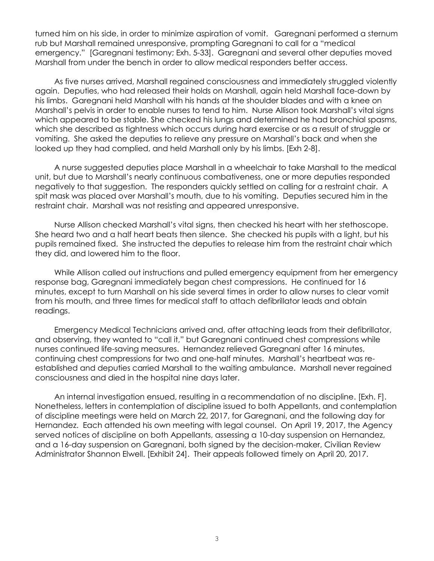turned him on his side, in order to minimize aspiration of vomit. Garegnani performed a sternum rub but Marshall remained unresponsive, prompting Garegnani to call for a "medical emergency." [Garegnani testimony; Exh. 5-33]. Garegnani and several other deputies moved Marshall from under the bench in order to allow medical responders better access.

As five nurses arrived, Marshall regained consciousness and immediately struggled violently again. Deputies, who had released their holds on Marshall, again held Marshall face-down by his limbs. Garegnani held Marshall with his hands at the shoulder blades and with a knee on Marshall's pelvis in order to enable nurses to tend to him. Nurse Allison took Marshall's vital signs which appeared to be stable. She checked his lungs and determined he had bronchial spasms, which she described as tightness which occurs during hard exercise or as a result of struggle or vomiting. She asked the deputies to relieve any pressure on Marshall's back and when she looked up they had complied, and held Marshall only by his limbs. [Exh 2-8].

A nurse suggested deputies place Marshall in a wheelchair to take Marshall to the medical unit, but due to Marshall's nearly continuous combativeness, one or more deputies responded negatively to that suggestion. The responders quickly settled on calling for a restraint chair. A spit mask was placed over Marshall's mouth, due to his vomiting. Deputies secured him in the restraint chair. Marshall was not resisting and appeared unresponsive.

Nurse Allison checked Marshall's vital signs, then checked his heart with her stethoscope. She heard two and a half heart beats then silence. She checked his pupils with a light, but his pupils remained fixed. She instructed the deputies to release him from the restraint chair which they did, and lowered him to the floor.

While Allison called out instructions and pulled emergency equipment from her emergency response bag, Garegnani immediately began chest compressions. He continued for 16 minutes, except to turn Marshall on his side several times in order to allow nurses to clear vomit from his mouth, and three times for medical staff to attach defibrillator leads and obtain readings.

Emergency Medical Technicians arrived and, after attaching leads from their defibrillator, and observing, they wanted to "call it," but Garegnani continued chest compressions while nurses continued life-saving measures. Hernandez relieved Garegnani after 16 minutes, continuing chest compressions for two and one-half minutes. Marshall's heartbeat was reestablished and deputies carried Marshall to the waiting ambulance. Marshall never regained consciousness and died in the hospital nine days later.

An internal investigation ensued, resulting in a recommendation of no discipline. [Exh. F]. Nonetheless, letters in contemplation of discipline issued to both Appellants, and contemplation of discipline meetings were held on March 22, 2017, for Garegnani, and the following day for Hernandez. Each attended his own meeting with legal counsel. On April 19, 2017, the Agency served notices of discipline on both Appellants, assessing a 10-day suspension on Hernandez, and a 16-day suspension on Garegnani, both signed by the decision-maker, Civilian Review Administrator Shannon Elwell. [Exhibit 24]. Their appeals followed timely on April 20, 2017.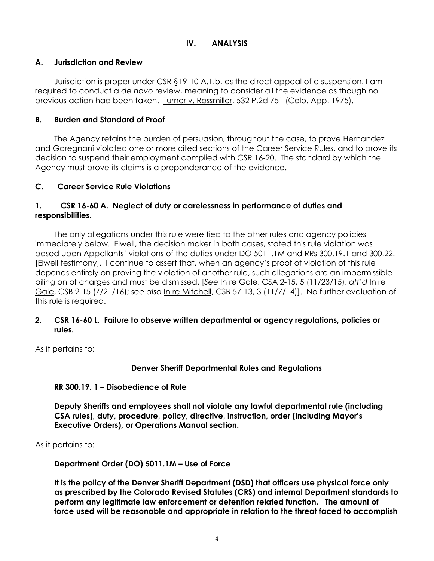# **IV. ANALYSIS**

## **A. Jurisdiction and Review**

Jurisdiction is proper under CSR §19-10 A.1.b, as the direct appeal of a suspension. I am required to conduct a *de novo* review, meaning to consider all the evidence as though no previous action had been taken. Turner v. Rossmiller, 532 P.2d 751 (Colo. App. 1975).

## **B. Burden and Standard of Proof**

The Agency retains the burden of persuasion, throughout the case, to prove Hernandez and Garegnani violated one or more cited sections of the Career Service Rules, and to prove its decision to suspend their employment complied with CSR 16-20. The standard by which the Agency must prove its claims is a preponderance of the evidence.

# **C. Career Service Rule Violations**

## **1. CSR 16-60 A. Neglect of duty or carelessness in performance of duties and responsibilities.**

The only allegations under this rule were tied to the other rules and agency policies immediately below. Elwell, the decision maker in both cases, stated this rule violation was based upon Appellants' violations of the duties under DO 5011.1M and RRs 300.19.1 and 300.22. [Elwell testimony]. I continue to assert that, when an agency's proof of violation of this rule depends entirely on proving the violation of another rule, such allegations are an impermissible piling on of charges and must be dismissed. [*See* In re Gale, CSA 2-15, 5 (11/23/15), *aff'd* In re Gale, CSB 2-15 (7/21/16); *see also* In re Mitchell, CSB 57-13, 3 (11/7/14)]. No further evaluation of this rule is required.

### **2. CSR 16-60 L. Failure to observe written departmental or agency regulations, policies or rules.**

As it pertains to:

# **Denver Sheriff Departmental Rules and Regulations**

**RR 300.19. 1 – Disobedience of Rule**

**Deputy Sheriffs and employees shall not violate any lawful departmental rule (including CSA rules), duty, procedure, policy, directive, instruction, order (including Mayor's Executive Orders), or Operations Manual section.**

As it pertains to:

**Department Order (DO) 5011.1M – Use of Force**

**It is the policy of the Denver Sheriff Department (DSD) that officers use physical force only as prescribed by the Colorado Revised Statutes (CRS) and internal Department standards to perform any legitimate law enforcement or detention related function. The amount of force used will be reasonable and appropriate in relation to the threat faced to accomplish**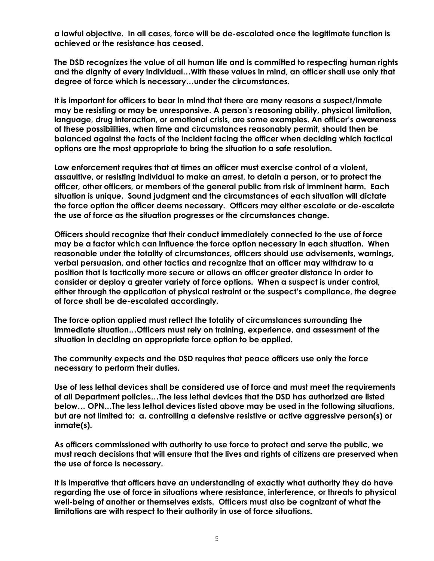**a lawful objective. In all cases, force will be de-escalated once the legitimate function is achieved or the resistance has ceased.**

**The DSD recognizes the value of all human life and is committed to respecting human rights and the dignity of every individual…With these values in mind, an officer shall use only that degree of force which is necessary…under the circumstances.**

**It is important for officers to bear in mind that there are many reasons a suspect/inmate may be resisting or may be unresponsive. A person's reasoning ability, physical limitation, language, drug interaction, or emotional crisis, are some examples. An officer's awareness of these possibilities, when time and circumstances reasonably permit, should then be balanced against the facts of the incident facing the officer when deciding which tactical options are the most appropriate to bring the situation to a safe resolution.** 

**Law enforcement requires that at times an officer must exercise control of a violent, assaultive, or resisting individual to make an arrest, to detain a person, or to protect the officer, other officers, or members of the general public from risk of imminent harm. Each situation is unique. Sound judgment and the circumstances of each situation will dictate the force option the officer deems necessary. Officers may either escalate or de-escalate the use of force as the situation progresses or the circumstances change.** 

**Officers should recognize that their conduct immediately connected to the use of force may be a factor which can influence the force option necessary in each situation. When reasonable under the totality of circumstances, officers should use advisements, warnings, verbal persuasion, and other tactics and recognize that an officer may withdraw to a position that is tactically more secure or allows an officer greater distance in order to consider or deploy a greater variety of force options. When a suspect is under control, either through the application of physical restraint or the suspect's compliance, the degree of force shall be de-escalated accordingly.**

**The force option applied must reflect the totality of circumstances surrounding the immediate situation…Officers must rely on training, experience, and assessment of the situation in deciding an appropriate force option to be applied.** 

**The community expects and the DSD requires that peace officers use only the force necessary to perform their duties.** 

**Use of less lethal devices shall be considered use of force and must meet the requirements of all Department policies…The less lethal devices that the DSD has authorized are listed below… OPN…The less lethal devices listed above may be used in the following situations, but are not limited to: a. controlling a defensive resistive or active aggressive person(s) or inmate(s).** 

**As officers commissioned with authority to use force to protect and serve the public, we must reach decisions that will ensure that the lives and rights of citizens are preserved when the use of force is necessary.**

**It is imperative that officers have an understanding of exactly what authority they do have regarding the use of force in situations where resistance, interference, or threats to physical well-being of another or themselves exists. Officers must also be cognizant of what the limitations are with respect to their authority in use of force situations.**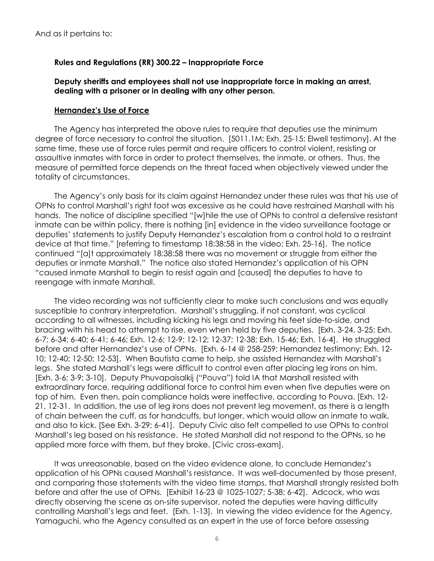### **Rules and Regulations (RR) 300.22 – Inappropriate Force**

**Deputy sheriffs and employees shall not use inappropriate force in making an arrest, dealing with a prisoner or in dealing with any other person.**

#### **Hernandez's Use of Force**

The Agency has interpreted the above rules to require that deputies use the minimum degree of force necessary to control the situation. [5011.1M; Exh. 25-15; Elwell testimony]. At the same time, these use of force rules permit and require officers to control violent, resisting or assaultive inmates with force in order to protect themselves, the inmate, or others. Thus, the measure of permitted force depends on the threat faced when objectively viewed under the totality of circumstances.

The Agency's only basis for its claim against Hernandez under these rules was that his use of OPNs to control Marshall's right foot was excessive as he could have restrained Marshall with his hands. The notice of discipline specified "[w]hile the use of OPNs to control a defensive resistant inmate can be within policy, there is nothing [in] evidence in the video surveillance footage or deputies' statements to justify Deputy Hernandez's escalation from a control hold to a restraint device at that time." [referring to timestamp 18:38:58 in the video; Exh. 25-16]. The notice continued "[a]t approximately 18:38:58 there was no movement or struggle from either the deputies or inmate Marshall." The notice also stated Hernandez's application of his OPN "caused inmate Marshall to begin to resist again and [caused] the deputies to have to reengage with inmate Marshall.

The video recording was not sufficiently clear to make such conclusions and was equally susceptible to contrary interpretation. Marshall's struggling, if not constant, was cyclical according to all witnesses, including kicking his legs and moving his feet side-to-side, and bracing with his head to attempt to rise, even when held by five deputies. [Exh. 3-24, 3-25; Exh. 6-7; 6-34; 6-40; 6-41; 6-46; Exh. 12-6; 12-9; 12-12; 12-37; 12-38; Exh. 15-46; Exh. 16-4].He struggled before and after Hernandez's use of OPNs. [Exh. 6-14 @ 258-259; Hernandez testimony; Exh. 12- 10; 12-40; 12-50; 12-53]. When Bautista came to help, she assisted Hernandez with Marshall's legs. She stated Marshall's legs were difficult to control even after placing leg irons on him. [Exh. 3-6; 3-9; 3-10].Deputy Phuvapaisalkij ("Pouva") told IA that Marshall resisted with extraordinary force, requiring additional force to control him even when five deputies were on top of him. Even then, pain compliance holds were ineffective, according to Pouva. [Exh. 12- 21, 12-31. In addition, the use of leg irons does not prevent leg movement, as there is a length of chain between the cuff, as for handcuffs, but longer, which would allow an inmate to walk, and also to kick. [See Exh. 3-29; 6-41]. Deputy Civic also felt compelled to use OPNs to control Marshall's leg based on his resistance. He stated Marshall did not respond to the OPNs, so he applied more force with them, but they broke. [Civic cross-exam].

It was unreasonable, based on the video evidence alone, to conclude Hernandez's application of his OPNs caused Marshall's resistance. It was well-documented by those present, and comparing those statements with the video time stamps, that Marshall strongly resisted both before and after the use of OPNs. [Exhibit 16-23 @ 1025-1027; 5-38; 6-42].Adcock, who was directly observing the scene as on-site supervisor, noted the deputies were having difficulty controlling Marshall's legs and feet.[Exh. 1-13]. In viewing the video evidence for the Agency, Yamaguchi, who the Agency consulted as an expert in the use of force before assessing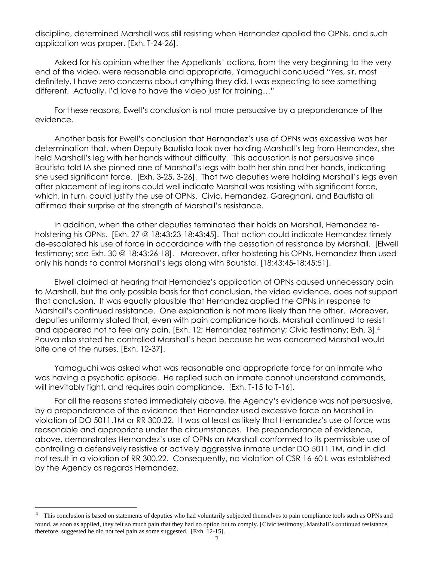discipline, determined Marshall was still resisting when Hernandez applied the OPNs, and such application was proper. [Exh. T-24-26].

Asked for his opinion whether the Appellants' actions, from the very beginning to the very end of the video, were reasonable and appropriate, Yamaguchi concluded "Yes, sir, most definitely, I have zero concerns about anything they did. I was expecting to see something different. Actually, I'd love to have the video just for training…"

For these reasons, Ewell's conclusion is not more persuasive by a preponderance of the evidence.

Another basis for Ewell's conclusion that Hernandez's use of OPNs was excessive was her determination that, when Deputy Bautista took over holding Marshall's leg from Hernandez, she held Marshall's leg with her hands without difficulty. This accusation is not persuasive since Bautista told IA she pinned one of Marshall's legs with both her shin and her hands, indicating she used significant force. [Exh. 3-25, 3-26]. That two deputies were holding Marshall's legs even after placement of leg irons could well indicate Marshall was resisting with significant force, which, in turn, could justify the use of OPNs. Civic, Hernandez, Garegnani, and Bautista all affirmed their surprise at the strength of Marshall's resistance.

In addition, when the other deputies terminated their holds on Marshall, Hernandez reholstering his OPNs. [Exh. 27 @ 18:43:23-18:43:45]. That action could indicate Hernandez timely de-escalated his use of force in accordance with the cessation of resistance by Marshall. [Elwell testimony; *see* Exh. 30 @ 18:43:26-18]. Moreover, after holstering his OPNs, Hernandez then used only his hands to control Marshall's legs along with Bautista. [18:43:45-18:45:51].

Elwell claimed at hearing that Hernandez's application of OPNs caused unnecessary pain to Marshall, but the only possible basis for that conclusion, the video evidence, does not support that conclusion. It was equally plausible that Hernandez applied the OPNs in response to Marshall's continued resistance. One explanation is not more likely than the other. Moreover, deputies uniformly stated that, even with pain compliance holds, Marshall continued to resist and appeared not to feel any pain. [Exh. 12; Hernandez testimony; Civic testimony; Exh. 3].<sup>4</sup> Pouva also stated he controlled Marshall's head because he was concerned Marshall would bite one of the nurses. [Exh. 12-37].

Yamaguchi was asked what was reasonable and appropriate force for an inmate who was having a psychotic episode. He replied such an inmate cannot understand commands, will inevitably fight, and requires pain compliance. [Exh. T-15 to T-16].

For all the reasons stated immediately above, the Agency's evidence was not persuasive, by a preponderance of the evidence that Hernandez used excessive force on Marshall in violation of DO 5011.1M or RR 300.22. It was at least as likely that Hernandez's use of force was reasonable and appropriate under the circumstances. The preponderance of evidence, above, demonstrates Hernandez's use of OPNs on Marshall conformed to its permissible use of controlling a defensively resistive or actively aggressive inmate under DO 5011.1M, and in did not result in a violation of RR 300.22. Consequently, no violation of CSR 16-60 L was established by the Agency as regards Hernandez.

L,

<sup>&</sup>lt;sup>4</sup> This conclusion is based on statements of deputies who had voluntarily subjected themselves to pain compliance tools such as OPNs and found, as soon as applied, they felt so much pain that they had no option but to comply. [Civic testimony].Marshall's continued resistance, therefore, suggested he did not feel pain as some suggested. [Exh. 12-15]. .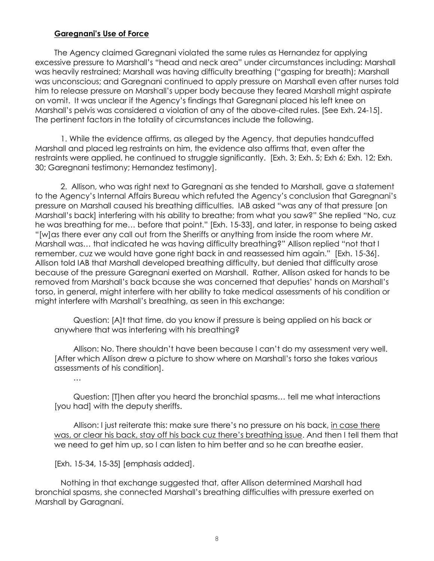### **Garegnani's Use of Force**

The Agency claimed Garegnani violated the same rules as Hernandez for applying excessive pressure to Marshall's "head and neck area" under circumstances including: Marshall was heavily restrained; Marshall was having difficulty breathing ("gasping for breath); Marshall was unconscious; and Garegnani continued to apply pressure on Marshall even after nurses told him to release pressure on Marshall's upper body because they feared Marshall might aspirate on vomit. It was unclear if the Agency's findings that Garegnani placed his left knee on Marshall's pelvis was considered a violation of any of the above-cited rules. [See Exh. 24-15]. The pertinent factors in the totality of circumstances include the following.

1. While the evidence affirms, as alleged by the Agency, that deputies handcuffed Marshall and placed leg restraints on him, the evidence also affirms that, even after the restraints were applied, he continued to struggle significantly. [Exh. 3; Exh. 5; Exh 6; Exh. 12; Exh. 30; Garegnani testimony; Hernandez testimony].

2. Allison, who was right next to Garegnani as she tended to Marshall, gave a statement to the Agency's Internal Affairs Bureau which refuted the Agency's conclusion that Garegnani's pressure on Marshall caused his breathing difficulties. IAB asked "was any of that pressure [on Marshall's back] interfering with his ability to breathe; from what you saw?" She replied "No, cuz he was breathing for me… before that point." [Exh. 15-33], and later, in response to being asked "[w]as there ever any call out from the Sheriffs or anything from inside the room where Mr. Marshall was… that indicated he was having difficulty breathing?" Allison replied "not that I remember, cuz we would have gone right back in and reassessed him again." [Exh. 15-36]. Allison told IAB that Marshall developed breathing difficulty, but denied that difficulty arose because of the pressure Garegnani exerted on Marshall. Rather, Allison asked for hands to be removed from Marshall's back bcause she was concerned that deputies' hands on Marshall's torso, in general, might interfere with her ability to take medical assessments of his condition or might interfere with Marshall's breathing, as seen in this exchange:

Question: [A]t that time, do you know if pressure is being applied on his back or anywhere that was interfering with his breathing?

Allison: No. There shouldn't have been because I can't do my assessment very well. [After which Allison drew a picture to show where on Marshall's torso she takes various assessments of his condition].

…

Question: [T]hen after you heard the bronchial spasms… tell me what interactions [you had] with the deputy sheriffs.

Allison: I just reiterate this: make sure there's no pressure on his back, in case there was, or clear his back, stay off his back cuz there's breathing issue. And then I tell them that we need to get him up, so I can listen to him better and so he can breathe easier.

[Exh. 15-34, 15-35] [emphasis added].

Nothing in that exchange suggested that, after Allison determined Marshall had bronchial spasms, she connected Marshall's breathing difficulties with pressure exerted on Marshall by Garagnani.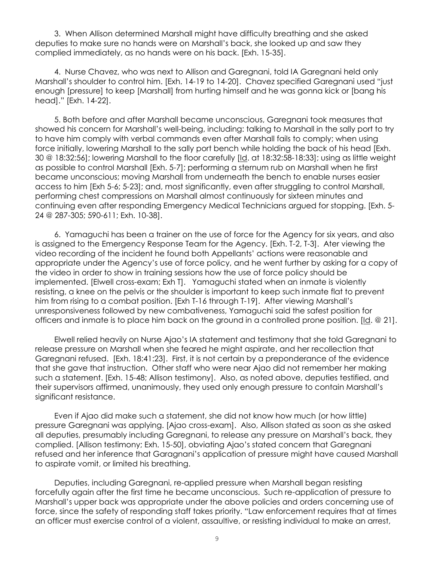3. When Allison determined Marshall might have difficulty breathing and she asked deputies to make sure no hands were on Marshall's back, she looked up and saw they complied immediately, as no hands were on his back. [Exh. 15-35].

4. Nurse Chavez, who was next to Allison and Garegnani, told IA Garegnani held only Marshall's shoulder to control him. [Exh. 14-19 to 14-20]. Chavez specified Garegnani used "just enough [pressure] to keep [Marshall] from hurting himself and he was gonna kick or [bang his head]." [Exh. 14-22].

5. Both before and after Marshall became unconscious, Garegnani took measures that showed his concern for Marshall's well-being, including: talking to Marshall in the sally port to try to have him comply with verbal commands even after Marshall fails to comply; when using force initially, lowering Marshall to the sally port bench while holding the back of his head [Exh. 30 @ 18:32:56]; lowering Marshall to the floor carefully [Id. at 18:32:58-18:33]; using as little weight as possible to control Marshall [Exh. 5-7]; performing a sternum rub on Marshall when he first became unconscious; moving Marshall from underneath the bench to enable nurses easier access to him [Exh 5-6; 5-23]; and, most significantly, even after struggling to control Marshall, performing chest compressions on Marshall almost continuously for sixteen minutes and continuing even after responding Emergency Medical Technicians argued for stopping. [Exh. 5- 24 @ 287-305; 590-611; Exh. 10-38].

6. Yamaguchi has been a trainer on the use of force for the Agency for six years, and also is assigned to the Emergency Response Team for the Agency. [Exh. T-2, T-3]. Ater viewing the video recording of the incident he found both Appellants' actions were reasonable and appropriate under the Agency's use of force policy, and he went further by asking for a copy of the video in order to show in training sessions how the use of force policy should be implemented. [Elwell cross-exam; Exh T]. Yamaguchi stated when an inmate is violently resisting, a knee on the pelvis or the shoulder is important to keep such inmate flat to prevent him from rising to a combat position. [Exh T-16 through T-19]. After viewing Marshall's unresponsiveness followed by new combativeness, Yamaguchi said the safest position for officers and inmate is to place him back on the ground in a controlled prone position. [Id. @ 21].

Elwell relied heavily on Nurse Ajao's IA statement and testimony that she told Garegnani to release pressure on Marshall when she feared he might aspirate, and her recollection that Garegnani refused. [Exh. 18:41:23]. First, it is not certain by a preponderance of the evidence that she gave that instruction. Other staff who were near Ajao did not remember her making such a statement. [Exh. 15-48; Allison testimony]. Also, as noted above, deputies testified, and their supervisors affirmed, unanimously, they used only enough pressure to contain Marshall's significant resistance.

Even if Ajao did make such a statement, she did not know how much (or how little) pressure Garegnani was applying. [Ajao cross-exam]. Also, Allison stated as soon as she asked all deputies, presumably including Garegnani, to release any pressure on Marshall's back, they complied. [Allison testimony; Exh. 15-50], obviating Ajao's stated concern that Garegnani refused and her inference that Garagnani's application of pressure might have caused Marshall to aspirate vomit, or limited his breathing.

Deputies, including Garegnani, re-applied pressure when Marshall began resisting forcefully again after the first time he became unconscious. Such re-application of pressure to Marshall's upper back was appropriate under the above policies and orders concerning use of force, since the safety of responding staff takes priority. "Law enforcement requires that at times an officer must exercise control of a violent, assaultive, or resisting individual to make an arrest,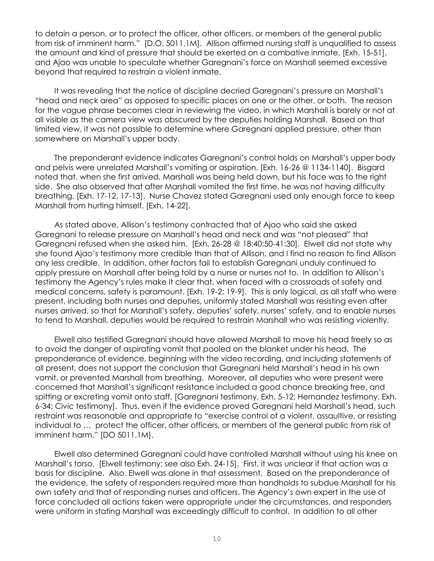to detain a person, or to protect the officer, other officers, or members of the general public from risk of imminent harm." [D.O. 5011.1M]. Allison affirmed nursing staff is unqualified to assess the amount and kind of pressure that should be exerted on a combative inmate, [Exh. 15-51], and Ajao was unable to speculate whether Garegnani's force on Marshall seemed excessive beyond that required to restrain a violent inmate.

It was revealing that the notice of discipline decried Garegnani's pressure on Marshall's "head and neck area" as opposed to specific places on one or the other, or both. The reason for the vague phrase becomes clear in reviewing the video, in which Marshall is barely or not at all visible as the camera view was obscured by the deputies holding Marshall. Based on that limited view, it was not possible to determine where Garegnani applied pressure, other than somewhere on Marshall's upper body.

The preponderant evidence indicates Garegnani's control holds on Marshall's upper body and pelvis were unrelated Marshall's vomiting or aspiration. [Exh. 16-26 @ 1134-1140]. Bisgard noted that, when she first arrived, Marshall was being held down, but his face was to the right side. She also observed that after Marshall vomited the first time, he was not having difficulty breathing. [Exh. 17-12, 17-13]. Nurse Chavez stated Garegnani used only enough force to keep Marshall from hurting himself. [Exh. 14-22].

As stated above, Allison's testimony contracted that of Ajao who said she asked Garegnani to release pressure on Marshall's head and neck and was "not pleased" that Garegnani refused when she asked him. [Exh. 26-28 @ 18:40:50-41:30]. Elwell did not state why she found Ajao's testimony more credible than that of Allison, and I find no reason to find Allison any less credible. In addition, other factors fail to establish Garegnani unduly continued to apply pressure on Marshall after being told by a nurse or nurses not to. In addition to Allison's testimony the Agency's rules make it clear that, when faced with a crossroads of safety and medical concerns, safety is paramount. [Exh. 19-2; 19-9]. This is only logical, as all staff who were present, including both nurses and deputies, uniformly stated Marshall was resisting even after nurses arrived, so that for Marshall's safety, deputies' safety, nurses' safety, and to enable nurses to tend to Marshall, deputies would be required to restrain Marshall who was resisting violently.

Elwell also testified Garegnani should have allowed Marshall to move his head freely so as to avoid the danger of aspirating vomit that pooled on the blanket under his head. The preponderance of evidence, beginning with the video recording, and including statements of all present, does not support the conclusion that Garegnani held Marshall's head in his own vomit, or prevented Marshall from breathing. Moreover, all deputies who were present were concerned that Marshall's significant resistance included a good chance breaking free, and spitting or excreting vomit onto staff. [Garegnani testimony, Exh. 5-12; Hernandez testimony. Exh. 6-34; Civic testimony]. Thus, even if the evidence proved Garegnani held Marshall's head, such restraint was reasonable and appropriate to "exercise control of a violent, assaultive, or resisting individual to … protect the officer, other officers, or members of the general public from risk of imminent harm." [DO 5011.1M].

Elwell also determined Garegnani could have controlled Marshall without using his knee on Marshall's torso. [Elwell testimony; see also Exh. 24-15]. First, it was unclear if that action was a basis for discipline. Also, Elwell was alone in that assessment. Based on the preponderance of the evidence, the safety of responders required more than handholds to subdue Marshall for his own safety and that of responding nurses and officers. The Agency's own expert in the use of force concluded all actions taken were appropriate under the circumstances, and responders were uniform in stating Marshall was exceedingly difficult to control. In addition to all other